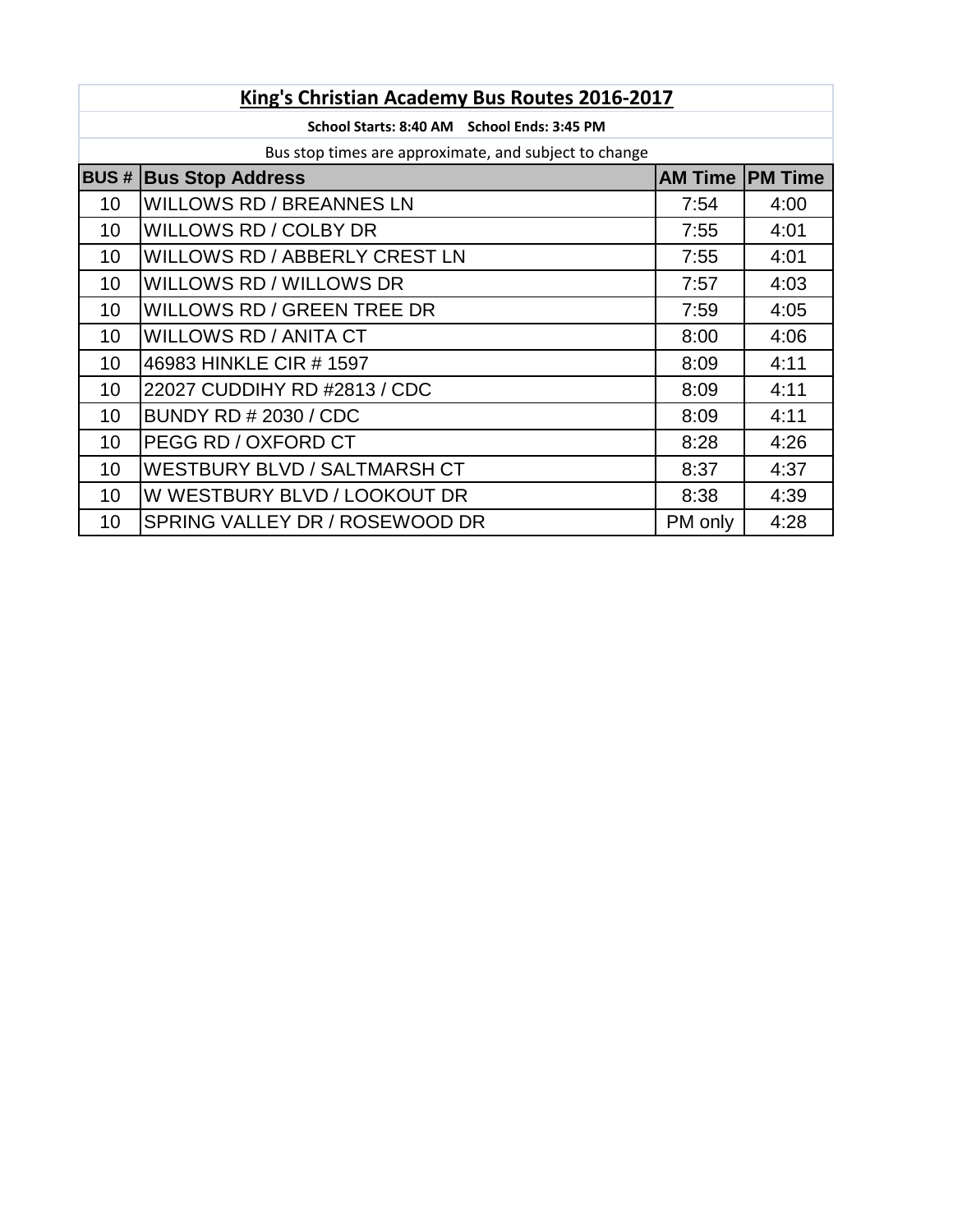| King's Christian Academy Bus Routes 2016-2017 |                                                       |                         |      |  |  |
|-----------------------------------------------|-------------------------------------------------------|-------------------------|------|--|--|
|                                               | School Starts: 8:40 AM School Ends: 3:45 PM           |                         |      |  |  |
|                                               | Bus stop times are approximate, and subject to change |                         |      |  |  |
| <b>BUS#</b>                                   | <b>Bus Stop Address</b>                               | <b>AM Time IPM Time</b> |      |  |  |
| 10                                            | <b>WILLOWS RD / BREANNES LN</b>                       | 7:54                    | 4:00 |  |  |
| 10                                            | WILLOWS RD / COLBY DR                                 | 7:55                    | 4:01 |  |  |
| 10 <sup>°</sup>                               | WILLOWS RD / ABBERLY CREST LN                         | 7:55                    | 4:01 |  |  |
| 10 <sup>°</sup>                               | WILLOWS RD / WILLOWS DR                               | 7:57                    | 4:03 |  |  |
| 10 <sup>°</sup>                               | WILLOWS RD / GREEN TREE DR                            | 7:59                    | 4:05 |  |  |
| 10 <sup>1</sup>                               | <b>WILLOWS RD / ANITA CT</b>                          | 8:00                    | 4:06 |  |  |
| 10 <sup>°</sup>                               | 46983 HINKLE CIR # 1597                               | 8:09                    | 4:11 |  |  |
| 10 <sup>°</sup>                               | 22027 CUDDIHY RD #2813 / CDC                          | 8:09                    | 4:11 |  |  |
| 10 <sup>°</sup>                               | <b>BUNDY RD # 2030 / CDC</b>                          | 8:09                    | 4:11 |  |  |
| 10                                            | PEGG RD / OXFORD CT                                   | 8:28                    | 4:26 |  |  |
| 10 <sup>°</sup>                               | <b>WESTBURY BLVD / SALTMARSH CT</b>                   | 8:37                    | 4:37 |  |  |
| 10 <sup>1</sup>                               | W WESTBURY BLVD / LOOKOUT DR                          | 8:38                    | 4:39 |  |  |
| 10                                            | SPRING VALLEY DR / ROSEWOOD DR                        | PM only                 | 4:28 |  |  |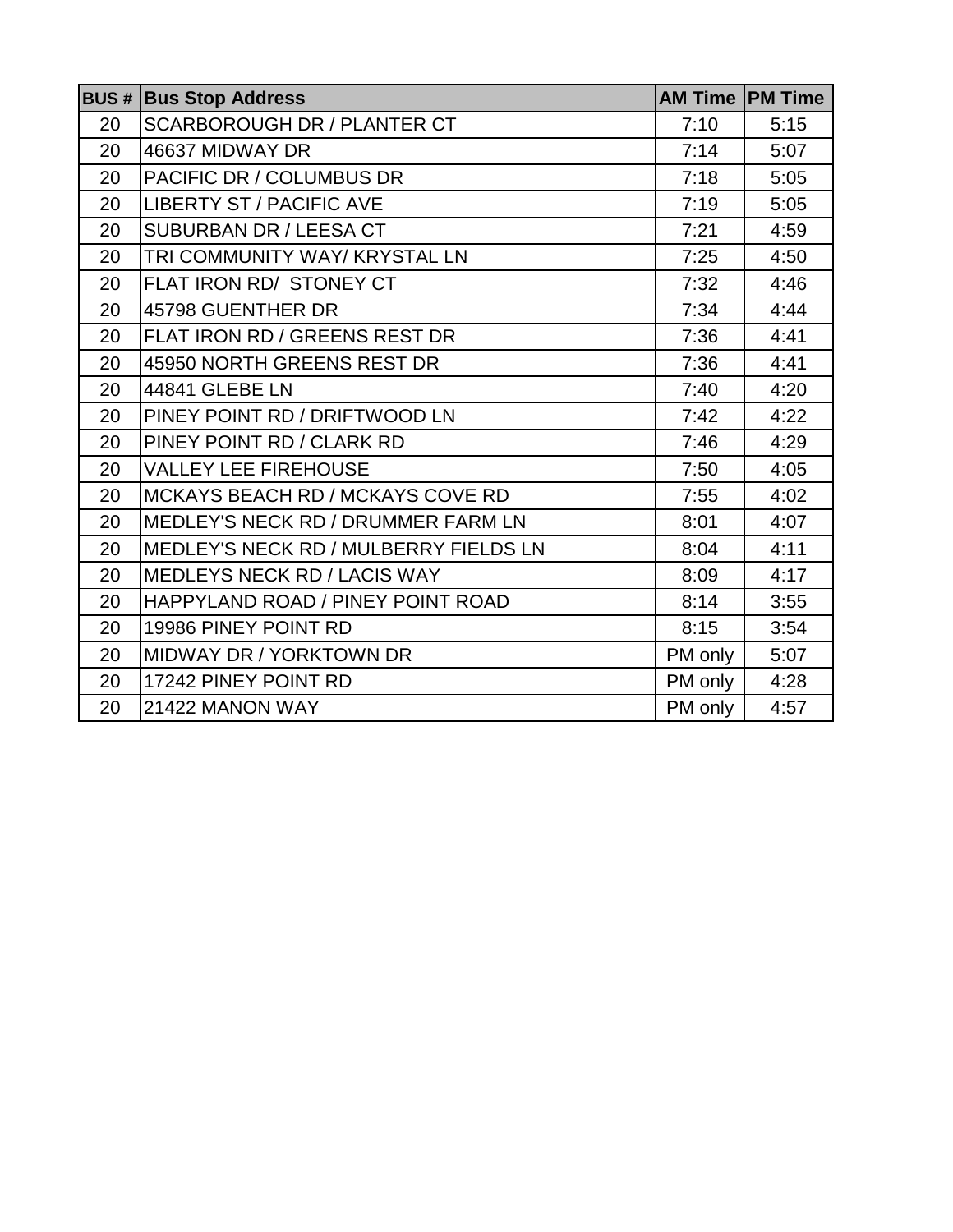|    | <b>BUS # Bus Stop Address</b>                |         | <b>AM Time PM Time</b> |
|----|----------------------------------------------|---------|------------------------|
| 20 | <b>SCARBOROUGH DR / PLANTER CT</b>           | 7:10    | 5:15                   |
| 20 | 46637 MIDWAY DR                              | 7:14    | 5:07                   |
| 20 | PACIFIC DR / COLUMBUS DR                     | 7:18    | 5:05                   |
| 20 | <b>LIBERTY ST / PACIFIC AVE</b>              | 7:19    | 5:05                   |
| 20 | <b>SUBURBAN DR / LEESA CT</b>                | 7:21    | 4:59                   |
| 20 | TRI COMMUNITY WAY/ KRYSTAL LN                | 7:25    | 4:50                   |
| 20 | FLAT IRON RD/ STONEY CT                      | 7:32    | 4:46                   |
| 20 | 45798 GUENTHER DR                            | 7:34    | 4:44                   |
| 20 | FLAT IRON RD / GREENS REST DR                | 7:36    | 4:41                   |
| 20 | 45950 NORTH GREENS REST DR                   | 7:36    | 4:41                   |
| 20 | 44841 GLEBE LN                               | 7:40    | 4:20                   |
| 20 | PINEY POINT RD / DRIFTWOOD LN                | 7:42    | 4:22                   |
| 20 | PINEY POINT RD / CLARK RD                    | 7:46    | 4:29                   |
| 20 | <b>VALLEY LEE FIREHOUSE</b>                  | 7:50    | 4:05                   |
| 20 | MCKAYS BEACH RD / MCKAYS COVE RD             | 7:55    | 4:02                   |
| 20 | MEDLEY'S NECK RD / DRUMMER FARM LN           | 8:01    | 4:07                   |
| 20 | <b>MEDLEY'S NECK RD / MULBERRY FIELDS LN</b> | 8:04    | 4:11                   |
| 20 | MEDLEYS NECK RD / LACIS WAY                  | 8:09    | 4:17                   |
| 20 | HAPPYLAND ROAD / PINEY POINT ROAD            | 8:14    | 3:55                   |
| 20 | 19986 PINEY POINT RD                         | 8:15    | 3:54                   |
| 20 | <b>MIDWAY DR / YORKTOWN DR</b>               | PM only | 5:07                   |
| 20 | 17242 PINEY POINT RD                         | PM only | 4:28                   |
| 20 | 21422 MANON WAY                              | PM only | 4:57                   |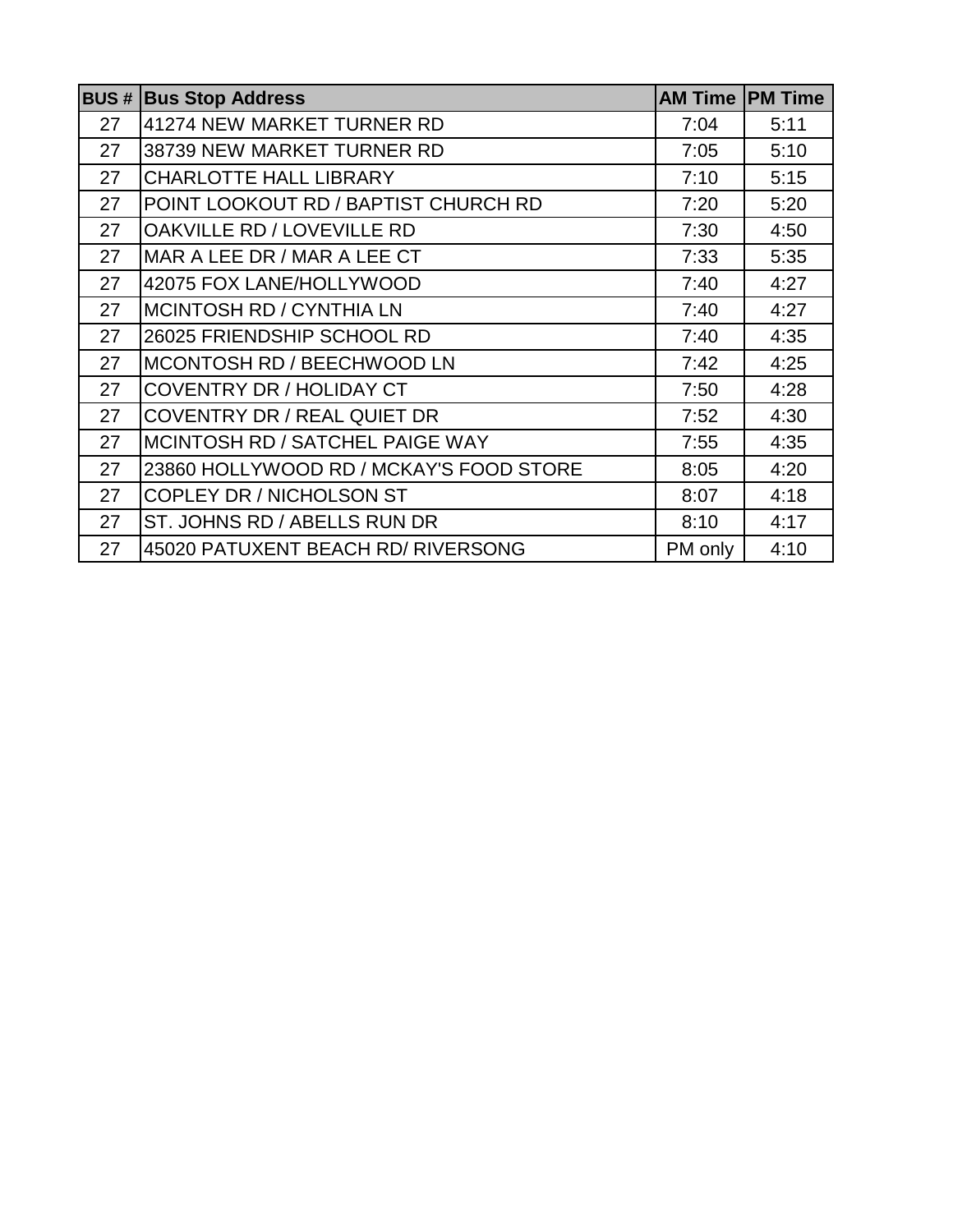|    | <b>BUS # Bus Stop Address</b>           | <b>AM Time IPM Time</b> |      |
|----|-----------------------------------------|-------------------------|------|
| 27 | 41274 NEW MARKET TURNER RD              | 7:04                    | 5:11 |
| 27 | 38739 NEW MARKET TURNER RD              | 7:05                    | 5:10 |
| 27 | <b>CHARLOTTE HALL LIBRARY</b>           | 7:10                    | 5:15 |
| 27 | POINT LOOKOUT RD / BAPTIST CHURCH RD    | 7:20                    | 5:20 |
| 27 | OAKVILLE RD / LOVEVILLE RD              | 7:30                    | 4:50 |
| 27 | MAR A LEE DR / MAR A LEE CT             | 7:33                    | 5:35 |
| 27 | 42075 FOX LANE/HOLLYWOOD                | 7:40                    | 4:27 |
| 27 | <b>MCINTOSH RD / CYNTHIA LN</b>         | 7:40                    | 4:27 |
| 27 | 26025 FRIENDSHIP SCHOOL RD              | 7:40                    | 4:35 |
| 27 | MCONTOSH RD / BEECHWOOD LN              | 7:42                    | 4:25 |
| 27 | <b>COVENTRY DR / HOLIDAY CT</b>         | 7:50                    | 4:28 |
| 27 | <b>COVENTRY DR / REAL QUIET DR</b>      | 7:52                    | 4:30 |
| 27 | MCINTOSH RD / SATCHEL PAIGE WAY         | 7:55                    | 4:35 |
| 27 | 23860 HOLLYWOOD RD / MCKAY'S FOOD STORE | 8:05                    | 4:20 |
| 27 | <b>COPLEY DR / NICHOLSON ST</b>         | 8:07                    | 4:18 |
| 27 | ST. JOHNS RD / ABELLS RUN DR            | 8:10                    | 4:17 |
| 27 | 45020 PATUXENT BEACH RD/ RIVERSONG      | PM only                 | 4:10 |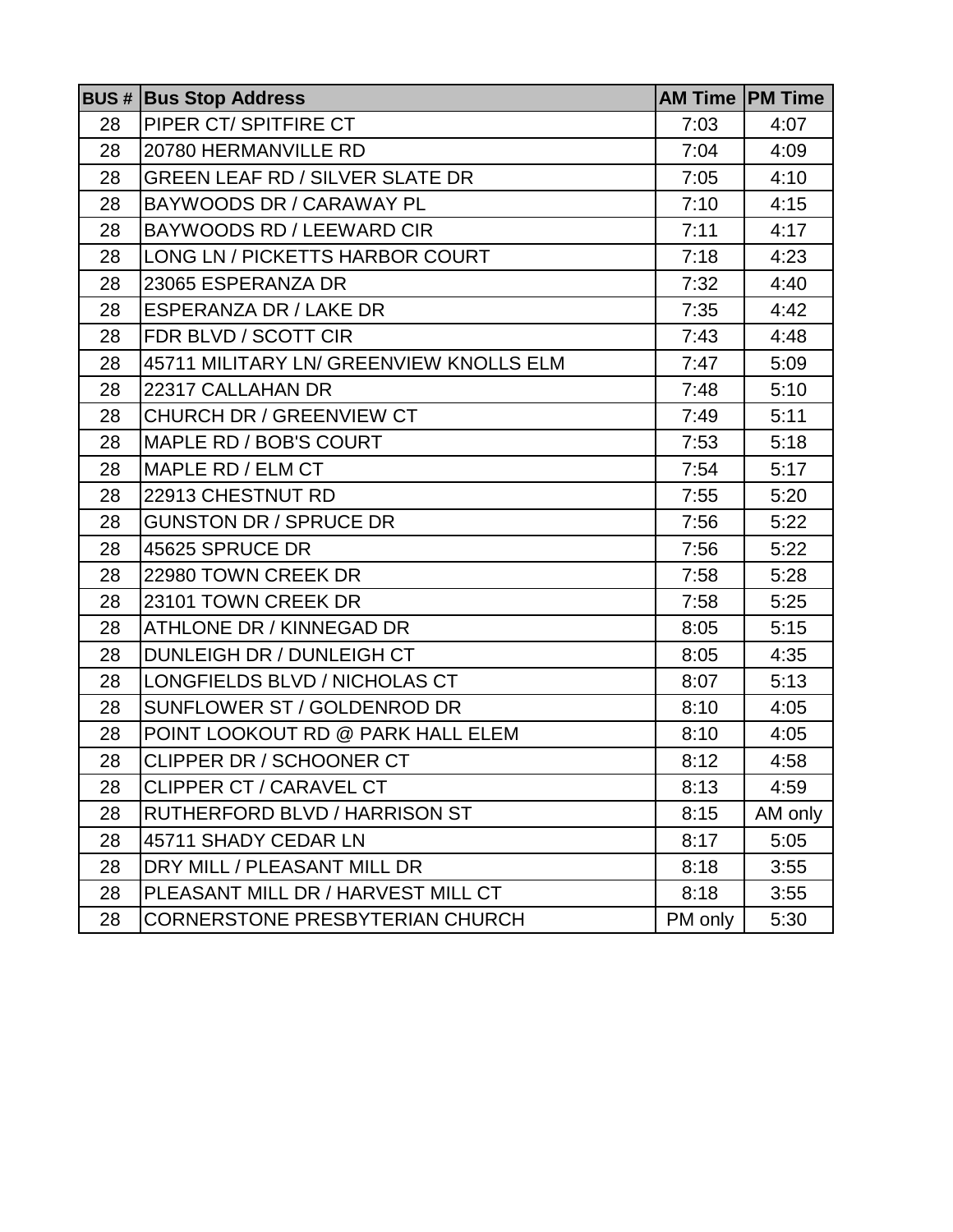|    | <b>BUS # Bus Stop Address</b>           |         | <b>AM Time   PM Time</b> |
|----|-----------------------------------------|---------|--------------------------|
| 28 | PIPER CT/SPITFIRE CT                    | 7:03    | 4:07                     |
| 28 | 20780 HERMANVILLE RD                    | 7:04    | 4:09                     |
| 28 | <b>GREEN LEAF RD / SILVER SLATE DR</b>  | 7:05    | 4:10                     |
| 28 | BAYWOODS DR / CARAWAY PL                | 7:10    | 4:15                     |
| 28 | BAYWOODS RD / LEEWARD CIR               | 7:11    | 4:17                     |
| 28 | LONG LN / PICKETTS HARBOR COURT         | 7:18    | 4:23                     |
| 28 | 23065 ESPERANZA DR                      | 7:32    | 4:40                     |
| 28 | <b>ESPERANZA DR / LAKE DR</b>           | 7:35    | 4:42                     |
| 28 | FDR BLVD / SCOTT CIR                    | 7:43    | 4:48                     |
| 28 | 45711 MILITARY LN/ GREENVIEW KNOLLS ELM | 7:47    | 5:09                     |
| 28 | 22317 CALLAHAN DR                       | 7:48    | 5:10                     |
| 28 | <b>CHURCH DR / GREENVIEW CT</b>         | 7:49    | 5:11                     |
| 28 | MAPLE RD / BOB'S COURT                  | 7:53    | 5:18                     |
| 28 | MAPLE RD / ELM CT                       | 7:54    | 5:17                     |
| 28 | 22913 CHESTNUT RD                       | 7:55    | 5:20                     |
| 28 | <b>GUNSTON DR / SPRUCE DR</b>           | 7:56    | 5:22                     |
| 28 | 45625 SPRUCE DR                         | 7:56    | 5:22                     |
| 28 | 22980 TOWN CREEK DR                     | 7:58    | 5:28                     |
| 28 | 23101 TOWN CREEK DR                     | 7:58    | 5:25                     |
| 28 | ATHLONE DR / KINNEGAD DR                | 8:05    | 5:15                     |
| 28 | DUNLEIGH DR / DUNLEIGH CT               | 8:05    | 4:35                     |
| 28 | LONGFIELDS BLVD / NICHOLAS CT           | 8:07    | 5:13                     |
| 28 | SUNFLOWER ST / GOLDENROD DR             | 8:10    | 4:05                     |
| 28 | POINT LOOKOUT RD @ PARK HALL ELEM       | 8:10    | 4:05                     |
| 28 | <b>CLIPPER DR / SCHOONER CT</b>         | 8:12    | 4:58                     |
| 28 | <b>CLIPPER CT / CARAVEL CT</b>          | 8:13    | 4:59                     |
| 28 | RUTHERFORD BLVD / HARRISON ST           | 8:15    | AM only                  |
| 28 | 45711 SHADY CEDAR LN                    | 8:17    | 5:05                     |
| 28 | DRY MILL / PLEASANT MILL DR             | 8:18    | 3:55                     |
| 28 | PLEASANT MILL DR / HARVEST MILL CT      | 8:18    | 3:55                     |
| 28 | <b>CORNERSTONE PRESBYTERIAN CHURCH</b>  | PM only | 5:30                     |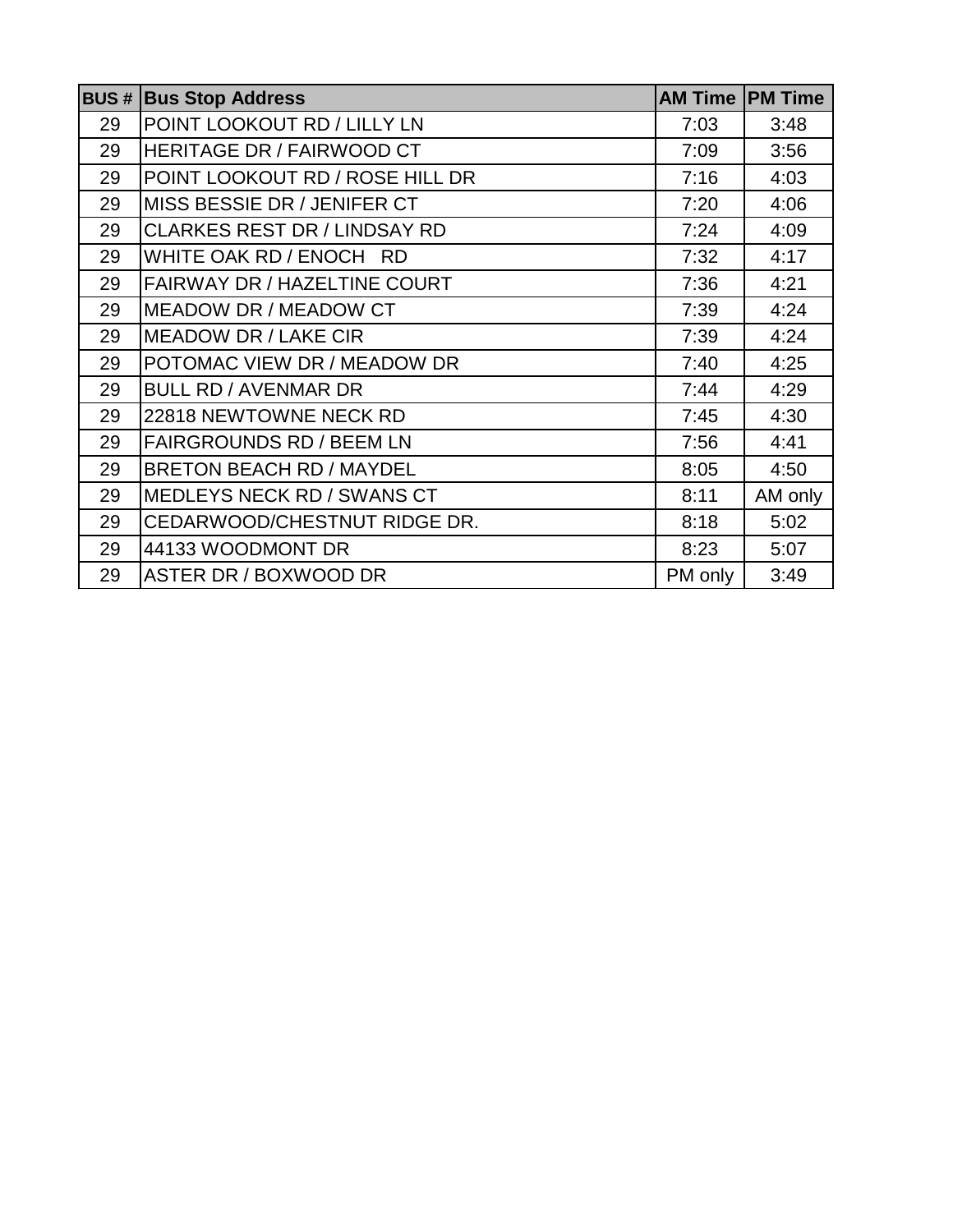|    | <b>BUS # Bus Stop Address</b>       | <b>AM Time PM Time</b> |         |
|----|-------------------------------------|------------------------|---------|
| 29 | POINT LOOKOUT RD / LILLY LN         | 7:03                   | 3:48    |
| 29 | <b>HERITAGE DR / FAIRWOOD CT</b>    | 7:09                   | 3:56    |
| 29 | POINT LOOKOUT RD / ROSE HILL DR     | 7:16                   | 4:03    |
| 29 | MISS BESSIE DR / JENIFER CT         | 7:20                   | 4:06    |
| 29 | <b>CLARKES REST DR / LINDSAY RD</b> | 7:24                   | 4:09    |
| 29 | WHITE OAK RD / ENOCH RD             | 7:32                   | 4:17    |
| 29 | FAIRWAY DR / HAZELTINE COURT        | 7:36                   | 4:21    |
| 29 | <b>MEADOW DR / MEADOW CT</b>        | 7:39                   | 4:24    |
| 29 | <b>MEADOW DR / LAKE CIR</b>         | 7:39                   | 4:24    |
| 29 | POTOMAC VIEW DR / MEADOW DR         | 7:40                   | 4:25    |
| 29 | <b>BULL RD / AVENMAR DR</b>         | 7:44                   | 4:29    |
| 29 | 22818 NEWTOWNE NECK RD              | 7:45                   | 4:30    |
| 29 | <b>FAIRGROUNDS RD / BEEM LN</b>     | 7:56                   | 4:41    |
| 29 | <b>BRETON BEACH RD / MAYDEL</b>     | 8:05                   | 4:50    |
| 29 | MEDLEYS NECK RD / SWANS CT          | 8:11                   | AM only |
| 29 | CEDARWOOD/CHESTNUT RIDGE DR.        | 8:18                   | 5:02    |
| 29 | 44133 WOODMONT DR                   | 8:23                   | 5:07    |
| 29 | ASTER DR / BOXWOOD DR               | PM only                | 3:49    |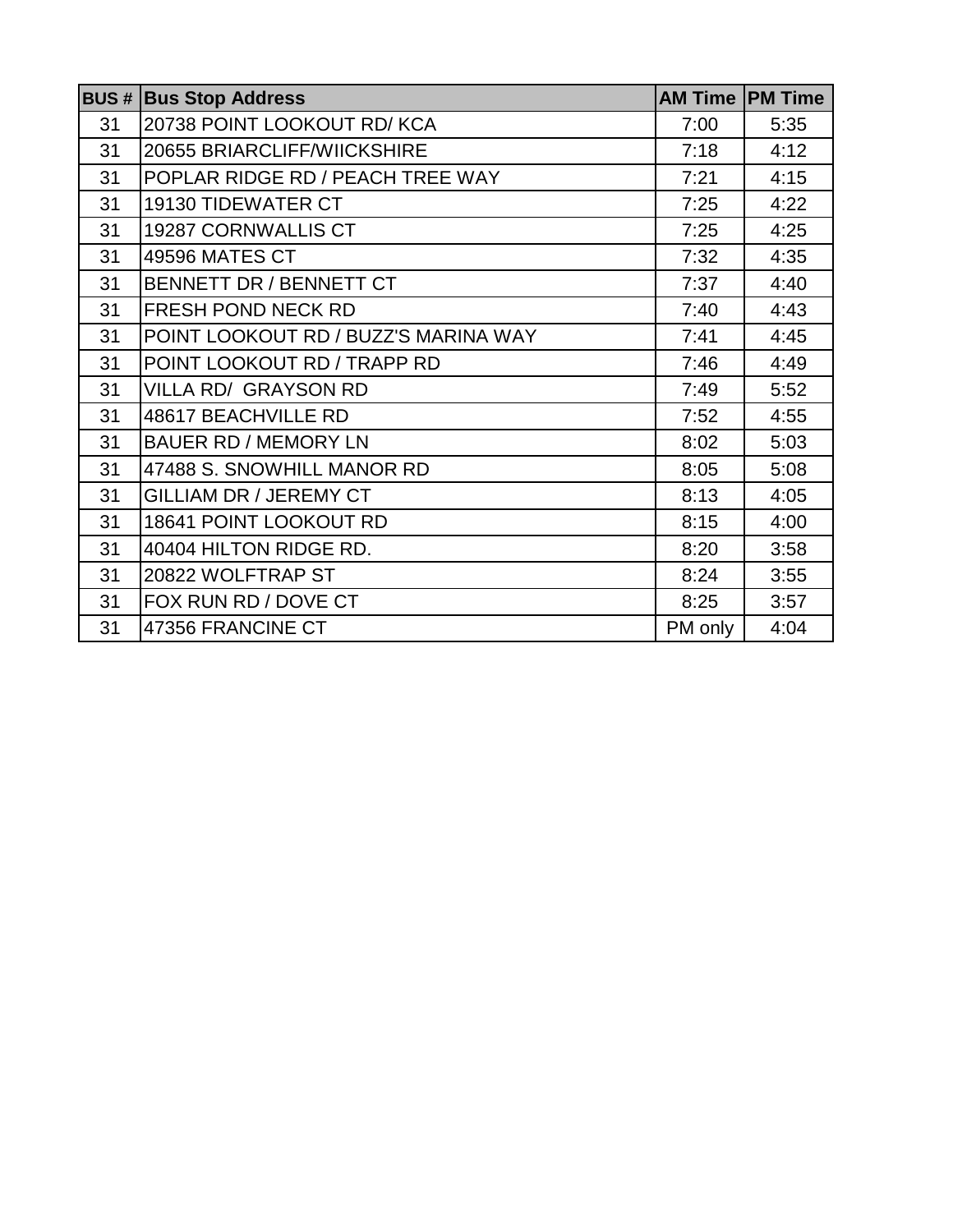|    | <b>BUS # Bus Stop Address</b>        | <b>AM Time PM Time</b> |      |
|----|--------------------------------------|------------------------|------|
| 31 | 20738 POINT LOOKOUT RD/ KCA          | 7:00                   | 5:35 |
| 31 | 20655 BRIARCLIFF/WIICKSHIRE          | 7:18                   | 4:12 |
| 31 | POPLAR RIDGE RD / PEACH TREE WAY     | 7:21                   | 4:15 |
| 31 | <b>19130 TIDEWATER CT</b>            | 7:25                   | 4:22 |
| 31 | 19287 CORNWALLIS CT                  | 7:25                   | 4:25 |
| 31 | 49596 MATES CT                       | 7:32                   | 4:35 |
| 31 | BENNETT DR / BENNETT CT              | 7:37                   | 4:40 |
| 31 | <b>FRESH POND NECK RD</b>            | 7:40                   | 4:43 |
| 31 | POINT LOOKOUT RD / BUZZ'S MARINA WAY | 7:41                   | 4:45 |
| 31 | POINT LOOKOUT RD / TRAPP RD          | 7:46                   | 4:49 |
| 31 | <b>VILLA RD/ GRAYSON RD</b>          | 7:49                   | 5:52 |
| 31 | 48617 BEACHVILLE RD                  | 7:52                   | 4:55 |
| 31 | <b>BAUER RD / MEMORY LN</b>          | 8:02                   | 5:03 |
| 31 | 47488 S. SNOWHILL MANOR RD           | 8:05                   | 5:08 |
| 31 | <b>GILLIAM DR / JEREMY CT</b>        | 8:13                   | 4:05 |
| 31 | 18641 POINT LOOKOUT RD               | 8:15                   | 4:00 |
| 31 | 40404 HILTON RIDGE RD.               | 8:20                   | 3:58 |
| 31 | 20822 WOLFTRAP ST                    | 8:24                   | 3:55 |
| 31 | FOX RUN RD / DOVE CT                 | 8:25                   | 3:57 |
| 31 | 47356 FRANCINE CT                    | PM only                | 4:04 |